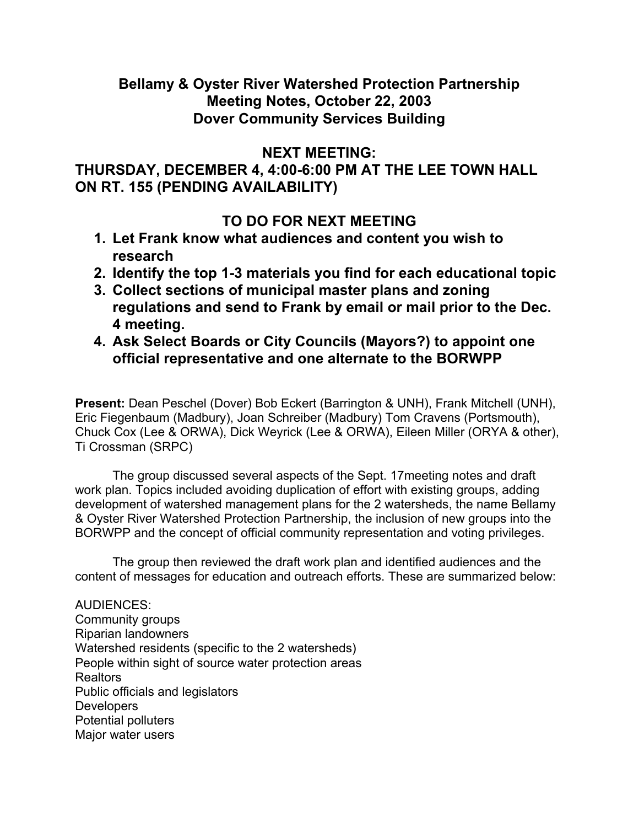## **Bellamy & Oyster River Watershed Protection Partnership Meeting Notes, October 22, 2003 Dover Community Services Building**

## **NEXT MEETING:**

## **THURSDAY, DECEMBER 4, 4:00-6:00 PM AT THE LEE TOWN HALL ON RT. 155 (PENDING AVAILABILITY)**

## **TO DO FOR NEXT MEETING**

- **1. Let Frank know what audiences and content you wish to research**
- **2. Identify the top 1-3 materials you find for each educational topic**
- **3. Collect sections of municipal master plans and zoning regulations and send to Frank by email or mail prior to the Dec. 4 meeting.**
- **4. Ask Select Boards or City Councils (Mayors?) to appoint one official representative and one alternate to the BORWPP**

**Present:** Dean Peschel (Dover) Bob Eckert (Barrington & UNH), Frank Mitchell (UNH), Eric Fiegenbaum (Madbury), Joan Schreiber (Madbury) Tom Cravens (Portsmouth), Chuck Cox (Lee & ORWA), Dick Weyrick (Lee & ORWA), Eileen Miller (ORYA & other), Ti Crossman (SRPC)

 The group discussed several aspects of the Sept. 17meeting notes and draft work plan. Topics included avoiding duplication of effort with existing groups, adding development of watershed management plans for the 2 watersheds, the name Bellamy & Oyster River Watershed Protection Partnership, the inclusion of new groups into the BORWPP and the concept of official community representation and voting privileges.

 The group then reviewed the draft work plan and identified audiences and the content of messages for education and outreach efforts. These are summarized below:

AUDIENCES: Community groups Riparian landowners Watershed residents (specific to the 2 watersheds) People within sight of source water protection areas Realtors Public officials and legislators **Developers** Potential polluters Major water users